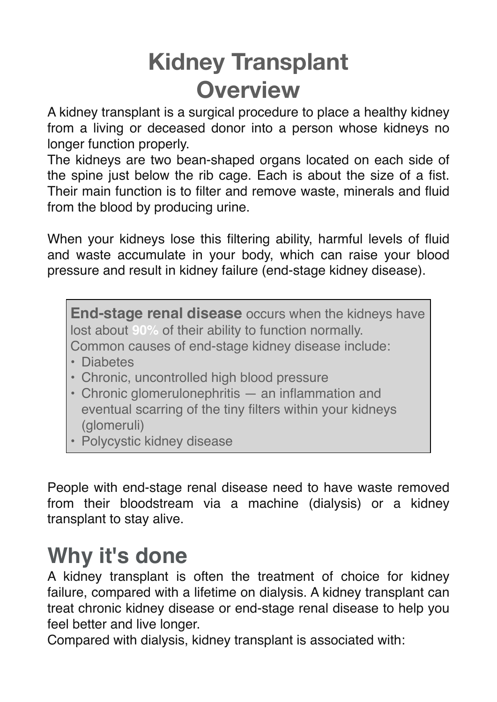# **Kidney Transplant Overview**

A kidney transplant is a surgical procedure to place a healthy kidney from a living or deceased donor into a person whose kidneys no longer function properly.

The kidneys are two bean-shaped organs located on each side of the spine just below the rib cage. Each is about the size of a fist. Their main function is to filter and remove waste, minerals and fluid from the blood by producing urine.

When your kidneys lose this filtering ability, harmful levels of fluid and waste accumulate in your body, which can raise your blood pressure and result in kidney failure (end-stage kidney disease).

**End-stage renal disease** occurs when the kidneys have lost about **90%** of their ability to function normally.

Common causes of end-stage kidney disease include:

- Diabetes
- Chronic, uncontrolled high blood pressure
- Chronic glomerulonephritis an inflammation and eventual scarring of the tiny filters within your kidneys (glomeruli)
- Polycystic kidney disease

People with end-stage renal disease need to have waste removed from their bloodstream via a machine (dialysis) or a kidney transplant to stay alive.

## **Why it's done**

A kidney transplant is often the treatment of choice for kidney failure, compared with a lifetime on dialysis. A kidney transplant can treat chronic kidney disease or end-stage renal disease to help you feel better and live longer.

Compared with dialysis, kidney transplant is associated with: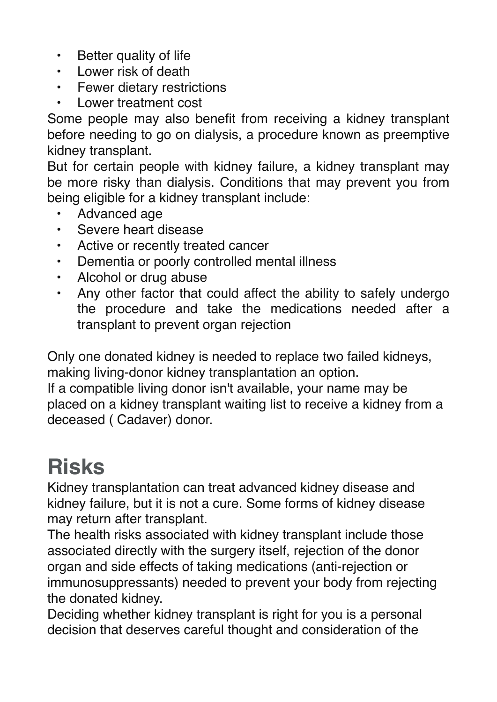- Better quality of life
- Lower risk of death
- Fewer dietary restrictions
- Lower treatment cost

Some people may also benefit from receiving a kidney transplant before needing to go on dialysis, a procedure known as preemptive kidney transplant.

But for certain people with kidney failure, a kidney transplant may be more risky than dialysis. Conditions that may prevent you from being eligible for a kidney transplant include:

- Advanced age
- Severe heart disease
- Active or recently treated cancer
- Dementia or poorly controlled mental illness
- Alcohol or drug abuse
- Any other factor that could affect the ability to safely undergo the procedure and take the medications needed after a transplant to prevent organ rejection

Only one donated kidney is needed to replace two failed kidneys, making living-donor kidney transplantation an option. If a compatible living donor isn't available, your name may be

placed on a kidney transplant waiting list to receive a kidney from a deceased ( Cadaver) donor.

# **Risks**

Kidney transplantation can treat advanced kidney disease and kidney failure, but it is not a cure. Some forms of kidney disease may return after transplant.

The health risks associated with kidney transplant include those associated directly with the surgery itself, rejection of the donor organ and side effects of taking medications (anti-rejection or immunosuppressants) needed to prevent your body from rejecting the donated kidney.

Deciding whether kidney transplant is right for you is a personal decision that deserves careful thought and consideration of the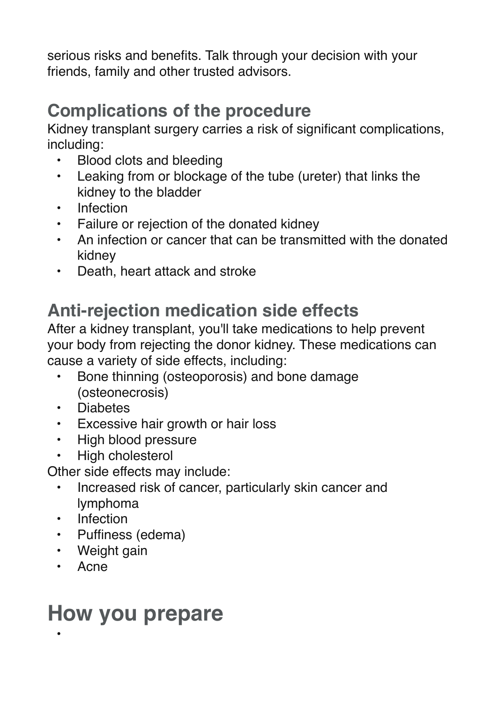serious risks and benefits. Talk through your decision with your friends, family and other trusted advisors.

## **Complications of the procedure**

Kidney transplant surgery carries a risk of significant complications, including:

- Blood clots and bleeding
- Leaking from or blockage of the tube (ureter) that links the kidney to the bladder
- **Infection**
- Failure or rejection of the donated kidney
- An infection or cancer that can be transmitted with the donated kidney
- Death, heart attack and stroke

### **Anti-rejection medication side effects**

After a kidney transplant, you'll take medications to help prevent your body from rejecting the donor kidney. These medications can cause a variety of side effects, including:

- Bone thinning (osteoporosis) and bone damage (osteonecrosis)
- Diabetes
- Excessive hair growth or hair loss
- High blood pressure
- High cholesterol

Other side effects may include:

- Increased risk of cancer, particularly skin cancer and lymphoma
- Infection
- Puffiness (edema)
- Weight gain
- Acne

•

## **How you prepare**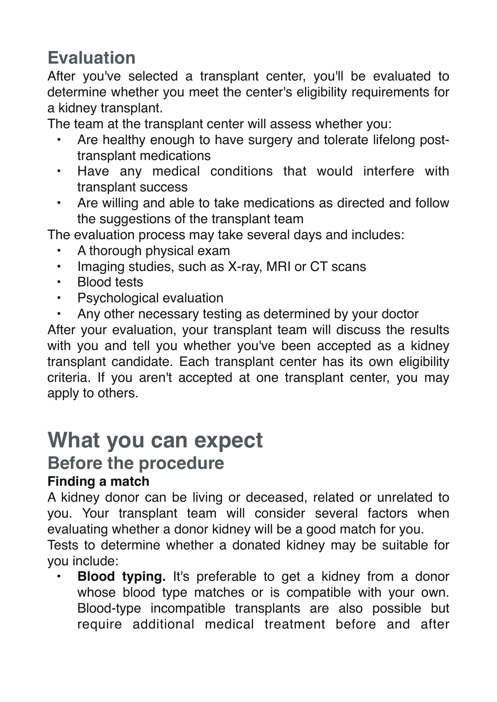### **Evaluation**

After you've selected a transplant center, you'll be evaluated to determine whether you meet the center's eligibility requirements for a kidney transplant.

The team at the transplant center will assess whether you:

- Are healthy enough to have surgery and tolerate lifelong posttransplant medications
- Have any medical conditions that would interfere with transplant success
- Are willing and able to take medications as directed and follow the suggestions of the transplant team

The evaluation process may take several days and includes:

- A thorough physical exam
- Imaging studies, such as X-ray, MRI or CT scans
- Blood tests
- Psychological evaluation
- Any other necessary testing as determined by your doctor

After your evaluation, your transplant team will discuss the results with you and tell you whether you've been accepted as a kidney transplant candidate. Each transplant center has its own eligibility criteria. If you aren't accepted at one transplant center, you may apply to others.

## **What you can expect**

## **Before the procedure**

#### **Finding a match**

A kidney donor can be living or deceased, related or unrelated to you. Your transplant team will consider several factors when evaluating whether a donor kidney will be a good match for you.

Tests to determine whether a donated kidney may be suitable for you include:

**• Blood typing.** It's preferable to get a kidney from a donor whose blood type matches or is compatible with your own. Blood-type incompatible transplants are also possible but require additional medical treatment before and after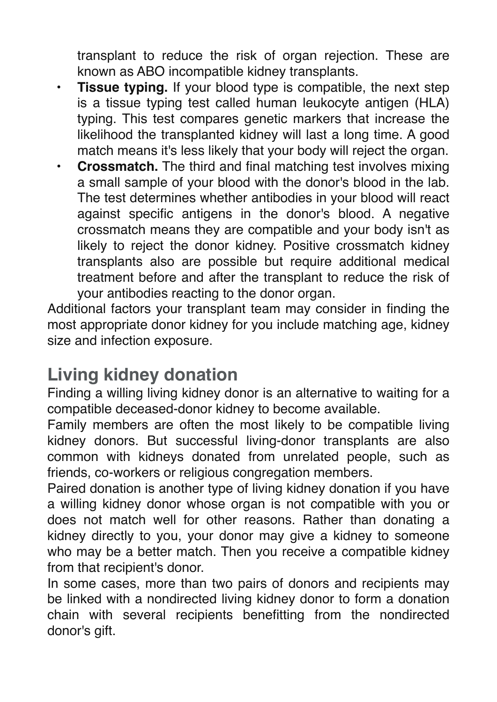transplant to reduce the risk of organ rejection. These are known as ABO incompatible kidney transplants.

- **• Tissue typing.** If your blood type is compatible, the next step is a tissue typing test called human leukocyte antigen (HLA) typing. This test compares genetic markers that increase the likelihood the transplanted kidney will last a long time. A good match means it's less likely that your body will reject the organ.
- **• Crossmatch.** The third and final matching test involves mixing a small sample of your blood with the donor's blood in the lab. The test determines whether antibodies in your blood will react against specific antigens in the donor's blood. A negative crossmatch means they are compatible and your body isn't as likely to reject the donor kidney. Positive crossmatch kidney transplants also are possible but require additional medical treatment before and after the transplant to reduce the risk of your antibodies reacting to the donor organ.

Additional factors your transplant team may consider in finding the most appropriate donor kidney for you include matching age, kidney size and infection exposure.

### **Living kidney donation**

Finding a willing living kidney donor is an alternative to waiting for a compatible deceased-donor kidney to become available.

Family members are often the most likely to be compatible living kidney donors. But successful living-donor transplants are also common with kidneys donated from unrelated people, such as friends, co-workers or religious congregation members.

Paired donation is another type of living kidney donation if you have a willing kidney donor whose organ is not compatible with you or does not match well for other reasons. Rather than donating a kidney directly to you, your donor may give a kidney to someone who may be a better match. Then you receive a compatible kidney from that recipient's donor.

In some cases, more than two pairs of donors and recipients may be linked with a nondirected living kidney donor to form a donation chain with several recipients benefitting from the nondirected donor's gift.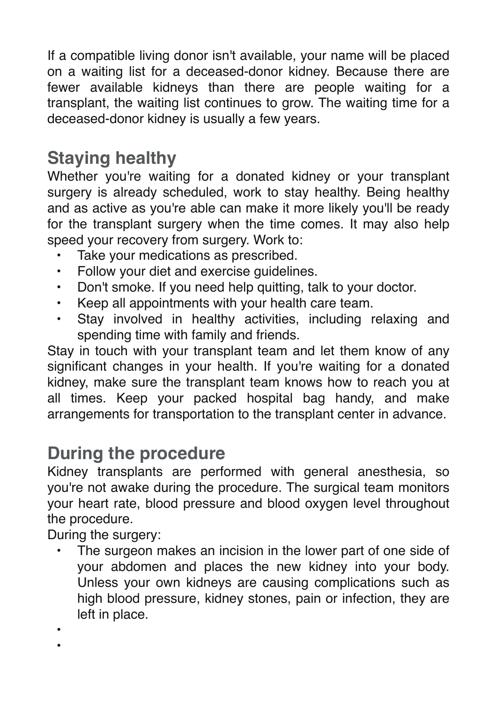If a compatible living donor isn't available, your name will be placed on a waiting list for a deceased-donor kidney. Because there are fewer available kidneys than there are people waiting for a transplant, the waiting list continues to grow. The waiting time for a deceased-donor kidney is usually a few years.

### **Staying healthy**

Whether you're waiting for a donated kidney or your transplant surgery is already scheduled, work to stay healthy. Being healthy and as active as you're able can make it more likely you'll be ready for the transplant surgery when the time comes. It may also help speed your recovery from surgery. Work to:

- Take your medications as prescribed.
- Follow your diet and exercise guidelines.
- Don't smoke. If you need help quitting, talk to your doctor.
- Keep all appointments with your health care team.
- Stay involved in healthy activities, including relaxing and spending time with family and friends.

Stay in touch with your transplant team and let them know of any significant changes in your health. If you're waiting for a donated kidney, make sure the transplant team knows how to reach you at all times. Keep your packed hospital bag handy, and make arrangements for transportation to the transplant center in advance.

### **During the procedure**

Kidney transplants are performed with general anesthesia, so you're not awake during the procedure. The surgical team monitors your heart rate, blood pressure and blood oxygen level throughout the procedure.

During the surgery:

The surgeon makes an incision in the lower part of one side of your abdomen and places the new kidney into your body. Unless your own kidneys are causing complications such as high blood pressure, kidney stones, pain or infection, they are left in place.

•

•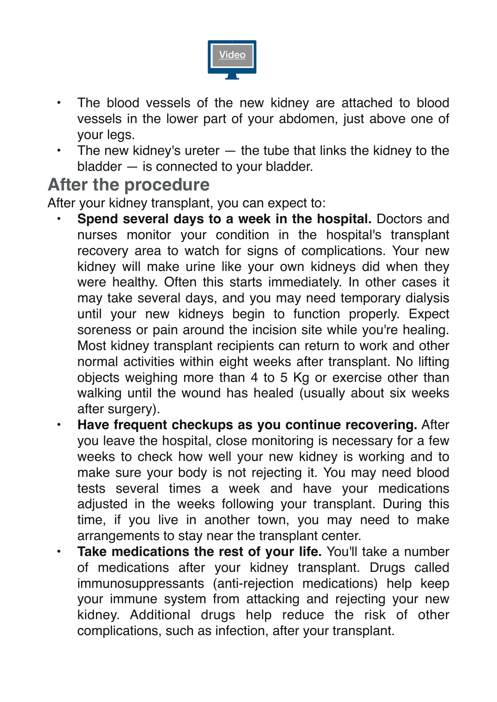

- The blood vessels of the new kidney are attached to blood vessels in the lower part of your abdomen, just above one of your legs.
- The new kidney's ureter  $-$  the tube that links the kidney to the bladder — is connected to your bladder.

### **After the procedure**

After your kidney transplant, you can expect to:

- **• Spend several days to a week in the hospital.** Doctors and nurses monitor your condition in the hospital's transplant recovery area to watch for signs of complications. Your new kidney will make urine like your own kidneys did when they were healthy. Often this starts immediately. In other cases it may take several days, and you may need temporary dialysis until your new kidneys begin to function properly. Expect soreness or pain around the incision site while you're healing. Most kidney transplant recipients can return to work and other normal activities within eight weeks after transplant. No lifting objects weighing more than 4 to 5 Kg or exercise other than walking until the wound has healed (usually about six weeks after surgery).
- **• Have frequent checkups as you continue recovering.** After you leave the hospital, close monitoring is necessary for a few weeks to check how well your new kidney is working and to make sure your body is not rejecting it. You may need blood tests several times a week and have your medications adjusted in the weeks following your transplant. During this time, if you live in another town, you may need to make arrangements to stay near the transplant center.
- **Take medications the rest of your life.** You'll take a number of medications after your kidney transplant. Drugs called immunosuppressants (anti-rejection medications) help keep your immune system from attacking and rejecting your new kidney. Additional drugs help reduce the risk of other complications, such as infection, after your transplant.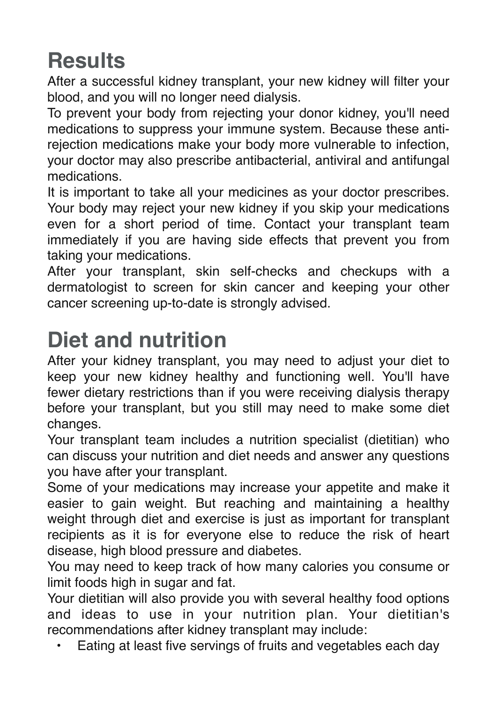# **Results**

After a successful kidney transplant, your new kidney will filter your blood, and you will no longer need dialysis.

To prevent your body from rejecting your donor kidney, you'll need medications to suppress your immune system. Because these antirejection medications make your body more vulnerable to infection, your doctor may also prescribe antibacterial, antiviral and antifungal medications.

It is important to take all your medicines as your doctor prescribes. Your body may reject your new kidney if you skip your medications even for a short period of time. Contact your transplant team immediately if you are having side effects that prevent you from taking your medications.

After your transplant, skin self-checks and checkups with a dermatologist to screen for skin cancer and keeping your other cancer screening up-to-date is strongly advised.

## **Diet and nutrition**

After your kidney transplant, you may need to adjust your diet to keep your new kidney healthy and functioning well. You'll have fewer dietary restrictions than if you were receiving dialysis therapy before your transplant, but you still may need to make some diet changes.

Your transplant team includes a nutrition specialist (dietitian) who can discuss your nutrition and diet needs and answer any questions you have after your transplant.

Some of your medications may increase your appetite and make it easier to gain weight. But reaching and maintaining a healthy weight through diet and exercise is just as important for transplant recipients as it is for everyone else to reduce the risk of heart disease, high blood pressure and diabetes.

You may need to keep track of how many calories you consume or limit foods high in sugar and fat.

Your dietitian will also provide you with several healthy food options and ideas to use in your nutrition plan. Your dietitian's recommendations after kidney transplant may include:

• Eating at least five servings of fruits and vegetables each day